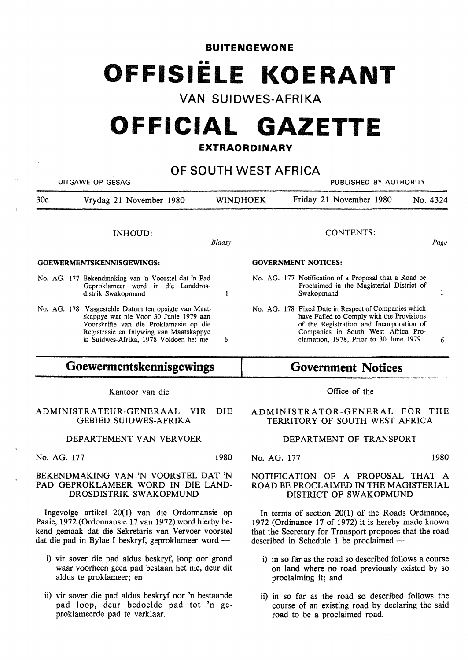## **BUITENGEWONE**  •• **OFFISIELE KOERANT**

## **VAN SUIDWES-AFRIKA**

# **OFFICIAL GAZETTE**

### **EXTRAORDINARY**

#### **OF SOUTH WEST AFRICA**  UITGAWE OP GESAG PUBLISHED BY AUTHORITY 30c Vrydag 21 November 1980 WINOHOEK Friday 21 November 1980 No. 4324 CONTENTS: INHOUD: *Bladsy Page*  **GOEWERMENTSKENNISGEWINGS: GOVERNMENT NOTICES:**  No. AG. 177 Notification of a Proposal that a Road be No. AG. 177 Bekendmaking van 'n V oorstel dat 'n Pad Proclaimed in the Magisterial District of Geproklameer word in die Landdrosdistrik Swakopmund  $\mathbf{1}$ Swakopmund  $\mathbf{1}$ No. AG. 178 Fixed Date in Respect of Companies which No. AG. 178 Vasgestelde Datum ten opsigte van Maatskappye wat nie Voor 30 Junie 1979 aan have Failed to Comply with the Provisions Voorskrifte van die Proklamasie op die of the Registration and Incorporation of Companies in South West Africa Pro-Registrasie en Inlywing van Maatskappye in Suidwes-Afrika, 1978 Voldoen het nie 6 clamation, 1978, Prior to 30 June 1979 6 **Goewermentskennisgewings Government Notices**

Kantoor van die

#### ADMINISTRA TEUR-GENERAAL VIR DIE GEBIED SUIDWES-AFRIKA

#### DEPARTEMENT VAN VERVOER

No. AG. 177 1980

#### **BEKENDMAKING VAN 'N VOORSTEL DAT 'N PAD GEPROKLAMEER WORD IN** DIE **LAND-**DROSDISTRIK SWAKOPMUND

Ingevolge artikel 20( 1) van die Ordonnansie op Paaie, 1972 (Ordonnansie 17 van 1972) word hierby bekend gemaak dat die Sekretaris van Vervoer voorstel dat die pad in Bylae I beskryf, geproklameer word -

- i) vir sover die pad aldus beskryf, loop oor grond waar voorheen geen pad bestaan het nie, deur dit aldus te proklameer; en
- ii) vir sover die pad aldus beskryf oor 'n bestaande pad loop, deur bedoelde pad tot 'n geproklameerde pad te verklaar.

Office of the

#### **ADMINISTRATOR-GENERAL FOR** THE **TERRITORY** OF **SOUTH** WEST **AFRICA**

#### **DEPARTMENT** OF **TRANSPORT**

No. AG. 177 1980

#### NOTIFICATION OF A PROPOSAL THAT A ROAD BE PROCLAIMED IN THE MAGISTERIAL **DISTRICT OF SWAKOPMUND**

In terms of section 20(1) of the Roads Ordinance, 1972 (Ordinance 17 of 1972) it is hereby made known that the Secretary for Transport proposes that the road described in Schedule 1 be proclaimed -

- i) in so far as the road so described follows a course on land where no road previously existed by so proclaiming it; and
- ii) in so far as the road so described follows the course of an existing road by declaring the said road to be a proclaimed road.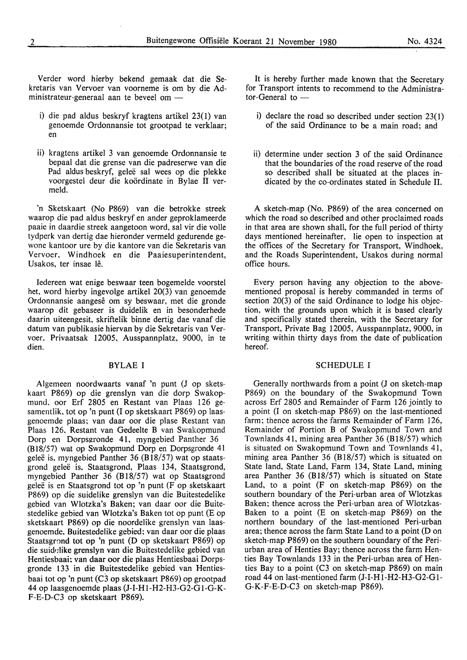Verder word hierby bekend gemaak dat die Sekretaris van Vervoer van voorneme is om by die Administrateur-generaal aan te beveel om -

- i) die pad aldus beskryf kragtens artikel 23(1) van genoemde Ordonnansie tot grootpad te verklaar; en
- ii) kragtens artikel 3 van genoemde Ordonnansie te bepaal dat die grense van die padreserwe van die Pad aldus beskryf, geleë sal wees op die plekke voorgestel deur die koordinate in Bylae II vermeld.

'n Sketskaart (No P869) van die betrokke streek waarop die pad aldus beskryf en ander geproklameerde paaie in daardie streek aangetoon word, sal vir die volle tydperk van dertig dae hieronder vermeld gedurende gewone kantoor ure by die kantore van die Sekretaris van Vervoer, Windhoek en die Paaiesuperintendent, Usakos, ter insae lê.

Iedereen wat enige beswaar teen bogemelde voorstel het, word hierby ingevolge artikel 20(3) van genoemde Ordonnansie aangesê om sy beswaar, met die gronde waarop dit gebaseer is duidelik en in besonderhede daarin uiteengesit, skriftelik binne dertig dae vanaf die datum van publikasie hiervan by die Sekretaris van Vervoer, Privaatsak 12005, Ausspannplatz, 9000, in te dien.

#### BYLAE I

Algemeen noordwaarts vanaf 'n punt (J op sketskaart P869) op die grenslyn van die dorp Swakopmund, oor Erf 2805 en Restant van Plaas 126 gesamentlik, tot op 'n punt (I op sketskaart P869) op laasgenoemde plaas; van daar oor die plase Restant van Plaas 126, Restant van Gedeelte B van Swakopmund Dorp en Dorpsgronde 41, myngebied Panther 36 (B18/57) wat op Swakopmund Dorp en Dorpsgronde 41 geleë is, myngebied Panther 36 (B $18/57$ ) wat op staatsgrond gelee is, Staatsgrond, Plaas 134, Staatsgrond, myngebied Panther 36 (B18/57) wat op Staatsgrond gelee is en Staatsgrond tot op 'n punt (F op sketskaart P869) op die suidelike grenslyn van die Buitestedelike gebied van Wlotzka's Baken; van daar oor die Buitestedelike gebied van Wlotzka's Baken tot op punt (E op sketskaart P869) op die noordelike grenslyn van laasgenoemde, Buitestedelike gebied; van daar oor die plaas Staatsgrnnd tot op 'n punt (D op sketskaart P869) op die suidelike grenslyn van die Buitestedelike gebied van Hentiesbaai: van daar oor die plaas Hentiesbaai Dorpsgronde 133 in die Buitestedelike gebied van Hentiesbaai tot op 'n punt (C3 op sketskaart P869) op grootpad 44 op laasgenoemde plaas (J-I-Hl-H2-H3-G2-Gl-G-K-F-E-D-C3 op sketskaart P869).

It is hereby further made known that the Secretary for Transport intents to recommend to the Administra $tor$ -General to  $-$ 

- i) declare the road so described under section 23(1) of the said Ordinance to be a main road; and
- ii) determine under section 3 of the said Ordinance that the boundaries of the road reserve of the road so described shall be situated at the places indicated by the co-ordinates stated in Schedule II.

A sketch-map (No. P869) of the area concerned on which the road so described and other proclaimed roads in that area are shown shall, for the full period of thirty days mentioned hereinafter, lie open to inspection at the offices of the Secretary for Transport, Windhoek, and the Roads Superintendent, Usakos during normal office hours.

Every person having any objection to the abovementioned proposal is hereby commanded in terms of section 20(3) of the said Ordinance to lodge his objection, with the grounds upon which it is based clearly and specifically stated therein, with the Secretary for Transport, Private Bag 12005, Ausspannplatz, 9000, in writing within thirty days from the date of publication hereof.

#### SCHEDULE I

Generally northwards from a point (J on sketch-map P869) on the boundary of the Swakopmund Town across Erf 2805 and Remainder of Farm 126 jointly to a point (I on sketch-map P869) on the last-mentioned farm; thence across the farms Remainder of Farm 126, Remainder of Portion B of Swakopmund Town and Townlands 41, mining area Panther 36 (818/57) which is situated on Swakopmund Town and Townlands 41, mining area Panther 36 (B18/57) which is situated on State land, State Land, Farm 134, State Land, mining area Panther 36 (B $18/57$ ) which is situated on State Land, to a point (F on sketch-map P869) on the southern boundary of the Peri-urban area of Wlotzkas Baken; thence across the Peri-urban area of Wlotzkas-Baken to a point (E on sketch-map P869) on the northern boundary of the last-mentioned Peri-urban area; thence across the farm State Land to a point (Don sketch-map P869) on the southern boundary of the Periurban area of Henties Bay; thence across the farm Henties Bay Townlands 133 in the Peri-urban area of Henties Bay to a point (C3 on sketch-map P869) on main road 44 on last-mentioned farm (J-I-Hl-H2-H3-G2-Gl-G-K-F-E-D-C3 on sketch-map P869).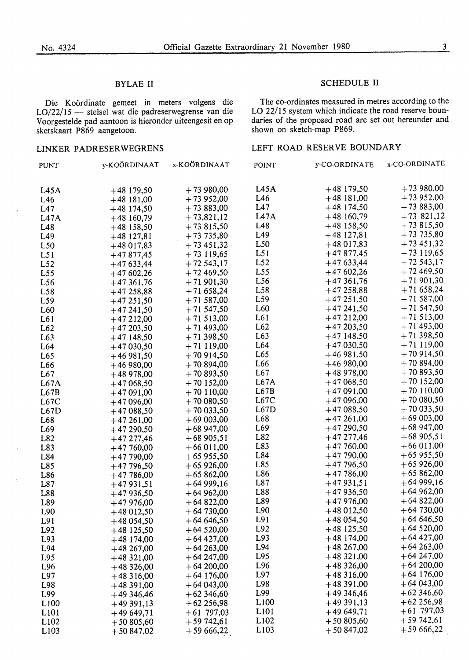LO/22/15 - stelsel wat die padreserwegrense van die LO 22/15 system which indicate the road reserve boun-Voorgestelde pad aantoon is hieronder uiteengesit en op daries of the proposed road are set out hereunder and sketskaart P869 aangetoon. sketskaart P869 aangetoon.

#### BYLAE II SCHEDULE II

Die Koördinate gemeet in meters volgens die The co-ordinates measured in metres according to the

#### LINKER PADRESERWEGRENS LEFT ROAD RESERVE BOUNDARY

| <b>PUNT</b>      | y-KOÖRDINAAT | x-KOÖRDINAAT | <b>POINT</b>     | y-CO-ORDINATE | x-CO-ORDINATE |
|------------------|--------------|--------------|------------------|---------------|---------------|
| L45A             | $+48$ 179,50 | $+73980,00$  | L45A             | $+48$ 179,50  | $+73980,00$   |
| L46              | $+48$ 181,00 | $+73952,00$  | L46              | $+48$ 181,00  | $+73952,00$   |
| L47              | $+48$ 174,50 | $+73883,00$  | L47              | $+48$ 174,50  | $+73883,00$   |
| L47A             | $+48160,79$  | $+73,821,12$ | L47A             | $+48160,79$   | $+73821,12$   |
| L48              | $+48$ 158,50 | $+73815,50$  | L48              | $+48$ 158,50  | $+73815,50$   |
| L49              | $+48127,81$  | $+73735,80$  | L49              | $+48127,81$   | $+73735,80$   |
| L50              | $+48017,83$  | $+73451,32$  | L <sub>50</sub>  | $+48017,83$   | $+73451,32$   |
| L51              | $+47877,45$  | $+73$ 119,65 | L51              | $+47877,45$   | $+73$ 119,65  |
| L52              | $+47633,44$  | $+72543,17$  | L52              | $+47633,44$   | $+72543,17$   |
| L55              | $+47602,26$  | $+72469,50$  | L55              | $+47602,26$   | $+72469,50$   |
| L <sub>56</sub>  | $+47361,76$  | $+71901,30$  | L <sub>56</sub>  | $+47361,76$   | $+71901,30$   |
| L <sub>58</sub>  | $+47258,88$  | $+71658,24$  | L58              | $+47258,88$   | $+71658,24$   |
| L59              | $+47251,50$  | $+71587,00$  | L59              | $+47251,50$   | $+71587,00$   |
| L <sub>60</sub>  | $+47241,50$  | $+71547,50$  | L60              | $+47241,50$   | $+71547,50$   |
| L61              | $+47212,00$  | $+71513,00$  | L61              | $+47212,00$   | $+71513,00$   |
| L62              | $+47203,50$  | $+71493,00$  | L62              | $+47203,50$   | $+71493,00$   |
| L63              | $+47148,50$  | $+71398,50$  | L63              | $+47148,50$   | $+71398,50$   |
| L <sub>64</sub>  | $+47030,50$  | $+71119,00$  | L64              | $+47030,50$   | $+71119,00$   |
| L65              | $+46981,50$  | $+70914,50$  | L <sub>65</sub>  | $+46981,50$   | $+70914,50$   |
| L <sub>66</sub>  | $+46980,00$  | $+70894,00$  | L66              | $+46980,00$   | $+70894,00$   |
| L67              | $+48978,00$  | $+70893,50$  | L67              | $+48978,00$   | $+70893,50$   |
| L67A             | $+47068,50$  | $+70$ 152,00 | L67A             | $+47068,50$   | $+70$ 152,00  |
| L67B             | $+47091,00$  | $+70110,00$  | L67B             | $+47091,00$   | $+70110,00$   |
| L67C             | $+47096,00$  | $+70000,50$  | L67C             | $+47096,00$   | $+70000,50$   |
| L67D             | $+47088,50$  | $+70033,50$  | L67D             | $+47088,50$   | $+70033,50$   |
| L68              | $+47261,00$  | $+69003,00$  | L <sub>68</sub>  | $+47261,00$   | $+69003,00$   |
| L <sub>69</sub>  | $+47290,50$  | $+68947,00$  | L69              | $+47290,50$   | $+68947,00$   |
| L82              | $+47277,46$  | $+68905,51$  | L82              | $+47277,46$   | $+68905,51$   |
| L83              | $+47760,00$  | $+66011,00$  | L83              | $+47760,00$   | $+66011,00$   |
| L84              | $+47790,00$  | $+65955,50$  | L84              | $+47790,00$   | $+65955,50$   |
| L85              | $+47796,50$  | $+65926,00$  | L85              | $+47796,50$   | $+65926,00$   |
| L86              | $+47786,00$  | $+65862,00$  | L86              | $+47786,00$   | $+65862,00$   |
| L87              | $+47931,51$  | $+64999,16$  | L87              | $+47931,51$   | $+64999,16$   |
| L88              | $+47936,50$  | $+64962,00$  | L88              | $+47936,50$   | $+64962,00$   |
| L89              | $+47976,00$  | $+64822,00$  | L89              | $+47976,00$   | $+64822,00$   |
| L90              | $+48012,50$  | $+64730,00$  | L90              | $+48012,50$   | $+64730,00$   |
| L91              | $+48054,50$  | $+646,50$    | L91              | $+48054,50$   | $+64646,50$   |
| L92              | $+48$ 125,50 | $+64520,00$  | L92              | $+48$ 125,50  | $+64520,00$   |
| L93              | $+48$ 174,00 | $+64427,00$  | L93              | $+48$ 174,00  | $+64427,00$   |
| L94              | $+48267,00$  | $+64263,00$  | L94              | $+48267,00$   | $+64263,00$   |
| L95              | $+48321,00$  | $+64247,00$  | L95              | $+48321,00$   | $+64247,00$   |
| L96              | $+48326,00$  | $+64200,00$  | L96              | $+48326,00$   | $+64200,00$   |
| L97              | $+48316,00$  | $+64$ 176,00 | L97              | $+48316,00$   | $+64$ 176,00  |
| L98              | $+48391,00$  | $+64043,00$  | L98              | $+48391,00$   | $+64043,00$   |
| L99              | $+49346,46$  | $+62346,60$  | L99              | $+49346,46$   | $+62346,60$   |
| L <sub>100</sub> | $+49391,13$  | $+62256,98$  | L <sub>100</sub> | $+49391,13$   | $+62256,98$   |
| L <sub>101</sub> | $+49649,71$  | $+61797,03$  | L <sub>101</sub> | $+49649,71$   | $+61$ 797,03  |
| L <sub>102</sub> | $+50805,60$  | $+59742,61$  | L <sub>102</sub> | $+50805,60$   | $+59742,61$   |
| L <sub>103</sub> | $+50847,02$  | $+5966,22$   | L <sub>103</sub> | $+50847,02$   | $+5966,22$    |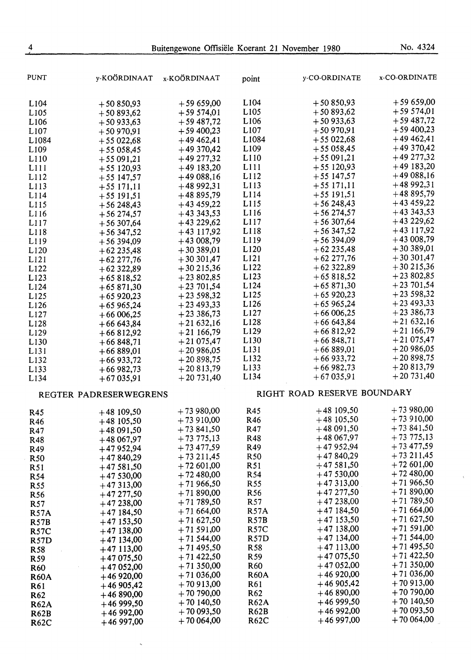| $+59659,00$<br>L104<br>$+50850,93$<br>$+59659,00$<br>L <sub>104</sub><br>$+50850,93$<br>$+59574,01$<br>L105<br>$+50893,62$<br>$+59574,01$<br>L <sub>105</sub><br>$+50893,62$<br>$+59487,72$<br>L <sub>106</sub><br>$+50933,63$<br>$+59487,72$<br>L106<br>$+50933,63$<br>$+59400,23$<br>$+50970,91$<br>L <sub>107</sub><br>L107<br>$+59400,23$<br>$+50970,91$<br>$+49462,41$<br>L1084<br>$+55022,68$<br>$+49462,41$<br>L1084<br>$+55022,68$<br>$+49370,42$<br>$+55058,45$<br>L <sub>109</sub><br>$+49370,42$<br>L <sub>109</sub><br>$+55058,45$<br>$+49277,32$<br>$+55091,21$<br>L110<br>$+49277,32$<br>L110<br>$+55091,21$<br>$+49183,20$<br>$+55120,93$<br>L111<br>$+49183,20$<br>L111<br>$+55$ 120,93<br>$+49088,16$<br>L112<br>$+55$ 147,57<br>$+49088,16$<br>L112<br>$+55$ 147,57<br>$+4892,31$<br>$+55171,11$<br>L113<br>$+4892,31$<br>L113<br>$+55171,11$<br>+48 895,79<br>L114<br>$+55$ 191,51<br>$+48895,79$<br>L114<br>$+55$ 191,51<br>$+43459,22$<br>$+56248,43$<br>L115<br>$+43459,22$<br>$+56248,43$<br>$+43343,53$<br>$+56274,57$<br>L116<br>$+43343,53$<br>$+56274,57$<br>$+43229,62$<br>L117<br>$+56307,64$<br>$+43229,62$<br>L117<br>$+56307,64$<br>$+43$ 117,92<br>$+56347,52$<br>L118<br>$+43$ 117,92<br>L118<br>$+56347,52$<br>$+43008,79$<br>$+56394,09$<br>L119<br>$+43008,79$<br>L119<br>$+56394,09$<br>$+30389,01$<br>L <sub>120</sub><br>$+62235,48$<br>$+30389,01$<br>L120<br>$+62235,48$<br>$+30301,47$<br>L <sub>121</sub><br>$+62277,76$<br>$+30301,47$<br>L121<br>$+62277,76$<br>$+30215,36$<br>L122<br>$+62322,89$<br>$+30215,36$<br>L <sub>122</sub><br>$+62322,89$<br>$+23802,85$<br>L <sub>123</sub><br>$+65818,52$<br>$+23802,85$<br>L123<br>$+65818,52$<br>$+23701,54$<br>L124<br>$+65871,30$<br>$+23701,54$<br>L124<br>$+65871,30$<br>$+23598,32$<br>L125<br>$+65920,23$<br>$+23598,32$<br>L <sub>125</sub><br>$+65920,23$<br>$+23493,33$<br>L126<br>$+65965,24$<br>$+23493,33$<br>L <sub>126</sub><br>$+65965,24$<br>$+23386,73$<br>L127<br>$+66006,25$<br>$+23336,73$<br>L <sub>127</sub><br>$+66006,25$<br>$+21632,16$<br>L128<br>$+66643,84$<br>$+21632,16$<br>L128<br>$+66643,84$<br>$+21166,79$<br>L129<br>$+66812,92$<br>$+21166,79$<br>L <sub>129</sub><br>$+66812,92$<br>$+21075,47$<br>L130<br>$+66848,71$<br>$+21075,47$<br>L <sub>130</sub><br>$+66848,71$<br>$+20986,05$<br>$+66889,01$<br>L131<br>$+20986,05$<br>L <sub>13</sub> 1<br>$+66889,01$<br>$+20898,75$<br>L132<br>$+66933,72$<br>$+20898,75$<br>$+66933,72$<br>$+20813,79$<br>L133<br>$+66982,73$<br>$+20813,79$<br>$+66982,73$<br>$+20731,40$<br>L134<br>$+67035,91$<br>$+20731,40$<br>L <sub>134</sub><br>$+67035.91$<br>RIGHT ROAD RESERVE BOUNDARY<br>REGTER PADRESERWEGRENS<br>$+73980,00$<br>$+48109,50$<br>$+73980,00$<br>R45<br>$+48$ 109,50<br>R45<br>$+73910,00$<br>$+48$ 105,50<br>$+73910,00$<br>R46<br>$+48$ 105,50<br>R46<br>$+73841,50$<br>$+48091,50$<br>$+73841,50$<br>R47<br>$+48091,50$<br>R47<br>$+73775,13$<br>$+48067,97$<br>$+73775,13$<br>R48<br>$+48067,97$<br>R48<br>$+73477,59$<br>$+47952,94$<br>$+73477,59$<br>R49<br>$+47952,94$<br>R49<br>$+73211,45$<br>$+47840,29$<br>$+73211,45$<br>R <sub>50</sub><br>$+47840,29$<br><b>R50</b><br>$+72601,00$<br>$+47581,50$<br>$+72601,00$<br>R51<br>$+47581,50$<br>R51<br>$+72480,00$<br>$+47530,00$<br>$+72480,00$<br>R54<br>$+47530,00$<br>R <sub>54</sub><br>$+71966,50$<br>$+47313,00$<br>$+71966,50$<br>R <sub>55</sub><br>$+47313,00$<br>R <sub>55</sub><br>$+71890,00$<br>$+47277,50$<br>$+71890,00$<br>R <sub>56</sub><br>$+47277,50$<br>R56<br>$+71789,50$<br>$+47238,00$<br>$+71789,50$<br>R57<br>$+47238,00$<br>R57<br>$+71664,00$<br>$+47184,50$<br><b>R57A</b><br>$+71664,00$<br>$+47184,50$<br><b>R57A</b><br>$+71627,50$<br>$+47153,50$<br>$+71627,50$<br><b>R57B</b><br>$+47$ 153,50<br><b>R57B</b><br>$+71591,00$<br>$+47138,00$<br>$+71591,00$<br><b>R57C</b><br>$+47138,00$<br><b>R57C</b><br>$+71544,00$<br>$+47134,00$<br>$+71544,00$<br><b>R57D</b><br>$+47$ 134,00<br><b>R57D</b><br>$+71495,50$<br>$+47113,00$<br>$+71495,50$<br>R <sub>58</sub><br>$+47113,00$<br>R <sub>58</sub><br>$+71422,50$<br>$+47075,50$<br>$+71422,50$<br>R <sub>59</sub><br>$+47075,50$<br>R <sub>59</sub><br>$+71350,00$<br>$+47052,00$<br>R <sub>60</sub><br>$+71350,00$<br>$+47052,00$<br><b>R60</b><br>$+71036,00$<br>$+46920,00$<br><b>R60A</b><br>$+71036,00$<br>$+46920,00$<br><b>R60A</b><br>$+70913,00$<br>$+46905,42$<br>$+70913,00$<br>R61<br>$+46905,42$<br>R61<br>$+70790,00$<br>$+46890,00$<br>R62<br>$+70790,00$<br>$+46890,00$<br>R <sub>62</sub><br>$+70140,50$<br>$+4699,50$<br>$+70140,50$<br><b>R62A</b><br>$+4699,50$<br><b>R62A</b><br>$+70093,50$<br>$+4692,00$<br>$+70093,50$<br><b>R62B</b><br>$+4692,00$<br><b>R62B</b><br>$+70064,00$<br>$+4697,00$<br>$+70064,00$<br><b>R62C</b><br>$+46997,00$<br><b>R62C</b> | PUNT             | y-KOÖRDINAAT | x-KOÖRDINAAT | point | y-CO-ORDINATE | x-CO-ORDINATE |
|--------------------------------------------------------------------------------------------------------------------------------------------------------------------------------------------------------------------------------------------------------------------------------------------------------------------------------------------------------------------------------------------------------------------------------------------------------------------------------------------------------------------------------------------------------------------------------------------------------------------------------------------------------------------------------------------------------------------------------------------------------------------------------------------------------------------------------------------------------------------------------------------------------------------------------------------------------------------------------------------------------------------------------------------------------------------------------------------------------------------------------------------------------------------------------------------------------------------------------------------------------------------------------------------------------------------------------------------------------------------------------------------------------------------------------------------------------------------------------------------------------------------------------------------------------------------------------------------------------------------------------------------------------------------------------------------------------------------------------------------------------------------------------------------------------------------------------------------------------------------------------------------------------------------------------------------------------------------------------------------------------------------------------------------------------------------------------------------------------------------------------------------------------------------------------------------------------------------------------------------------------------------------------------------------------------------------------------------------------------------------------------------------------------------------------------------------------------------------------------------------------------------------------------------------------------------------------------------------------------------------------------------------------------------------------------------------------------------------------------------------------------------------------------------------------------------------------------------------------------------------------------------------------------------------------------------------------------------------------------------------------------------------------------------------------------------------------------------------------------------------------------------------------------------------------------------------------------------------------------------------------------------------------------------------------------------------------------------------------------------------------------------------------------------------------------------------------------------------------------------------------------------------------------------------------------------------------------------------------------------------------------------------------------------------------------------------------------------------------------------------------------------------------------------------------------------------------------------------------------------------------------------------------------------------------------------------------------------------------------------------------------------------------------------------------------------------------------------------------------------------------------------------------------------------------------------------------------------------------------------------------------------------------------------------------------------------------------------------------------------------------------------------------------------------------------------------------------------------------------------------------------------------------------------------------------------------------------------------------------------------------------------------------------------------------------------------------------------------------------------------------------------------------------------------------------------------------|------------------|--------------|--------------|-------|---------------|---------------|
|                                                                                                                                                                                                                                                                                                                                                                                                                                                                                                                                                                                                                                                                                                                                                                                                                                                                                                                                                                                                                                                                                                                                                                                                                                                                                                                                                                                                                                                                                                                                                                                                                                                                                                                                                                                                                                                                                                                                                                                                                                                                                                                                                                                                                                                                                                                                                                                                                                                                                                                                                                                                                                                                                                                                                                                                                                                                                                                                                                                                                                                                                                                                                                                                                                                                                                                                                                                                                                                                                                                                                                                                                                                                                                                                                                                                                                                                                                                                                                                                                                                                                                                                                                                                                                                                                                                                                                                                                                                                                                                                                                                                                                                                                                                                                                                                                                |                  |              |              |       |               |               |
|                                                                                                                                                                                                                                                                                                                                                                                                                                                                                                                                                                                                                                                                                                                                                                                                                                                                                                                                                                                                                                                                                                                                                                                                                                                                                                                                                                                                                                                                                                                                                                                                                                                                                                                                                                                                                                                                                                                                                                                                                                                                                                                                                                                                                                                                                                                                                                                                                                                                                                                                                                                                                                                                                                                                                                                                                                                                                                                                                                                                                                                                                                                                                                                                                                                                                                                                                                                                                                                                                                                                                                                                                                                                                                                                                                                                                                                                                                                                                                                                                                                                                                                                                                                                                                                                                                                                                                                                                                                                                                                                                                                                                                                                                                                                                                                                                                |                  |              |              |       |               |               |
|                                                                                                                                                                                                                                                                                                                                                                                                                                                                                                                                                                                                                                                                                                                                                                                                                                                                                                                                                                                                                                                                                                                                                                                                                                                                                                                                                                                                                                                                                                                                                                                                                                                                                                                                                                                                                                                                                                                                                                                                                                                                                                                                                                                                                                                                                                                                                                                                                                                                                                                                                                                                                                                                                                                                                                                                                                                                                                                                                                                                                                                                                                                                                                                                                                                                                                                                                                                                                                                                                                                                                                                                                                                                                                                                                                                                                                                                                                                                                                                                                                                                                                                                                                                                                                                                                                                                                                                                                                                                                                                                                                                                                                                                                                                                                                                                                                |                  |              |              |       |               |               |
|                                                                                                                                                                                                                                                                                                                                                                                                                                                                                                                                                                                                                                                                                                                                                                                                                                                                                                                                                                                                                                                                                                                                                                                                                                                                                                                                                                                                                                                                                                                                                                                                                                                                                                                                                                                                                                                                                                                                                                                                                                                                                                                                                                                                                                                                                                                                                                                                                                                                                                                                                                                                                                                                                                                                                                                                                                                                                                                                                                                                                                                                                                                                                                                                                                                                                                                                                                                                                                                                                                                                                                                                                                                                                                                                                                                                                                                                                                                                                                                                                                                                                                                                                                                                                                                                                                                                                                                                                                                                                                                                                                                                                                                                                                                                                                                                                                |                  |              |              |       |               |               |
|                                                                                                                                                                                                                                                                                                                                                                                                                                                                                                                                                                                                                                                                                                                                                                                                                                                                                                                                                                                                                                                                                                                                                                                                                                                                                                                                                                                                                                                                                                                                                                                                                                                                                                                                                                                                                                                                                                                                                                                                                                                                                                                                                                                                                                                                                                                                                                                                                                                                                                                                                                                                                                                                                                                                                                                                                                                                                                                                                                                                                                                                                                                                                                                                                                                                                                                                                                                                                                                                                                                                                                                                                                                                                                                                                                                                                                                                                                                                                                                                                                                                                                                                                                                                                                                                                                                                                                                                                                                                                                                                                                                                                                                                                                                                                                                                                                |                  |              |              |       |               |               |
|                                                                                                                                                                                                                                                                                                                                                                                                                                                                                                                                                                                                                                                                                                                                                                                                                                                                                                                                                                                                                                                                                                                                                                                                                                                                                                                                                                                                                                                                                                                                                                                                                                                                                                                                                                                                                                                                                                                                                                                                                                                                                                                                                                                                                                                                                                                                                                                                                                                                                                                                                                                                                                                                                                                                                                                                                                                                                                                                                                                                                                                                                                                                                                                                                                                                                                                                                                                                                                                                                                                                                                                                                                                                                                                                                                                                                                                                                                                                                                                                                                                                                                                                                                                                                                                                                                                                                                                                                                                                                                                                                                                                                                                                                                                                                                                                                                |                  |              |              |       |               |               |
|                                                                                                                                                                                                                                                                                                                                                                                                                                                                                                                                                                                                                                                                                                                                                                                                                                                                                                                                                                                                                                                                                                                                                                                                                                                                                                                                                                                                                                                                                                                                                                                                                                                                                                                                                                                                                                                                                                                                                                                                                                                                                                                                                                                                                                                                                                                                                                                                                                                                                                                                                                                                                                                                                                                                                                                                                                                                                                                                                                                                                                                                                                                                                                                                                                                                                                                                                                                                                                                                                                                                                                                                                                                                                                                                                                                                                                                                                                                                                                                                                                                                                                                                                                                                                                                                                                                                                                                                                                                                                                                                                                                                                                                                                                                                                                                                                                |                  |              |              |       |               |               |
|                                                                                                                                                                                                                                                                                                                                                                                                                                                                                                                                                                                                                                                                                                                                                                                                                                                                                                                                                                                                                                                                                                                                                                                                                                                                                                                                                                                                                                                                                                                                                                                                                                                                                                                                                                                                                                                                                                                                                                                                                                                                                                                                                                                                                                                                                                                                                                                                                                                                                                                                                                                                                                                                                                                                                                                                                                                                                                                                                                                                                                                                                                                                                                                                                                                                                                                                                                                                                                                                                                                                                                                                                                                                                                                                                                                                                                                                                                                                                                                                                                                                                                                                                                                                                                                                                                                                                                                                                                                                                                                                                                                                                                                                                                                                                                                                                                |                  |              |              |       |               |               |
|                                                                                                                                                                                                                                                                                                                                                                                                                                                                                                                                                                                                                                                                                                                                                                                                                                                                                                                                                                                                                                                                                                                                                                                                                                                                                                                                                                                                                                                                                                                                                                                                                                                                                                                                                                                                                                                                                                                                                                                                                                                                                                                                                                                                                                                                                                                                                                                                                                                                                                                                                                                                                                                                                                                                                                                                                                                                                                                                                                                                                                                                                                                                                                                                                                                                                                                                                                                                                                                                                                                                                                                                                                                                                                                                                                                                                                                                                                                                                                                                                                                                                                                                                                                                                                                                                                                                                                                                                                                                                                                                                                                                                                                                                                                                                                                                                                |                  |              |              |       |               |               |
|                                                                                                                                                                                                                                                                                                                                                                                                                                                                                                                                                                                                                                                                                                                                                                                                                                                                                                                                                                                                                                                                                                                                                                                                                                                                                                                                                                                                                                                                                                                                                                                                                                                                                                                                                                                                                                                                                                                                                                                                                                                                                                                                                                                                                                                                                                                                                                                                                                                                                                                                                                                                                                                                                                                                                                                                                                                                                                                                                                                                                                                                                                                                                                                                                                                                                                                                                                                                                                                                                                                                                                                                                                                                                                                                                                                                                                                                                                                                                                                                                                                                                                                                                                                                                                                                                                                                                                                                                                                                                                                                                                                                                                                                                                                                                                                                                                |                  |              |              |       |               |               |
|                                                                                                                                                                                                                                                                                                                                                                                                                                                                                                                                                                                                                                                                                                                                                                                                                                                                                                                                                                                                                                                                                                                                                                                                                                                                                                                                                                                                                                                                                                                                                                                                                                                                                                                                                                                                                                                                                                                                                                                                                                                                                                                                                                                                                                                                                                                                                                                                                                                                                                                                                                                                                                                                                                                                                                                                                                                                                                                                                                                                                                                                                                                                                                                                                                                                                                                                                                                                                                                                                                                                                                                                                                                                                                                                                                                                                                                                                                                                                                                                                                                                                                                                                                                                                                                                                                                                                                                                                                                                                                                                                                                                                                                                                                                                                                                                                                |                  |              |              |       |               |               |
|                                                                                                                                                                                                                                                                                                                                                                                                                                                                                                                                                                                                                                                                                                                                                                                                                                                                                                                                                                                                                                                                                                                                                                                                                                                                                                                                                                                                                                                                                                                                                                                                                                                                                                                                                                                                                                                                                                                                                                                                                                                                                                                                                                                                                                                                                                                                                                                                                                                                                                                                                                                                                                                                                                                                                                                                                                                                                                                                                                                                                                                                                                                                                                                                                                                                                                                                                                                                                                                                                                                                                                                                                                                                                                                                                                                                                                                                                                                                                                                                                                                                                                                                                                                                                                                                                                                                                                                                                                                                                                                                                                                                                                                                                                                                                                                                                                |                  |              |              |       |               |               |
|                                                                                                                                                                                                                                                                                                                                                                                                                                                                                                                                                                                                                                                                                                                                                                                                                                                                                                                                                                                                                                                                                                                                                                                                                                                                                                                                                                                                                                                                                                                                                                                                                                                                                                                                                                                                                                                                                                                                                                                                                                                                                                                                                                                                                                                                                                                                                                                                                                                                                                                                                                                                                                                                                                                                                                                                                                                                                                                                                                                                                                                                                                                                                                                                                                                                                                                                                                                                                                                                                                                                                                                                                                                                                                                                                                                                                                                                                                                                                                                                                                                                                                                                                                                                                                                                                                                                                                                                                                                                                                                                                                                                                                                                                                                                                                                                                                | L115             |              |              |       |               |               |
|                                                                                                                                                                                                                                                                                                                                                                                                                                                                                                                                                                                                                                                                                                                                                                                                                                                                                                                                                                                                                                                                                                                                                                                                                                                                                                                                                                                                                                                                                                                                                                                                                                                                                                                                                                                                                                                                                                                                                                                                                                                                                                                                                                                                                                                                                                                                                                                                                                                                                                                                                                                                                                                                                                                                                                                                                                                                                                                                                                                                                                                                                                                                                                                                                                                                                                                                                                                                                                                                                                                                                                                                                                                                                                                                                                                                                                                                                                                                                                                                                                                                                                                                                                                                                                                                                                                                                                                                                                                                                                                                                                                                                                                                                                                                                                                                                                | L116             |              |              |       |               |               |
|                                                                                                                                                                                                                                                                                                                                                                                                                                                                                                                                                                                                                                                                                                                                                                                                                                                                                                                                                                                                                                                                                                                                                                                                                                                                                                                                                                                                                                                                                                                                                                                                                                                                                                                                                                                                                                                                                                                                                                                                                                                                                                                                                                                                                                                                                                                                                                                                                                                                                                                                                                                                                                                                                                                                                                                                                                                                                                                                                                                                                                                                                                                                                                                                                                                                                                                                                                                                                                                                                                                                                                                                                                                                                                                                                                                                                                                                                                                                                                                                                                                                                                                                                                                                                                                                                                                                                                                                                                                                                                                                                                                                                                                                                                                                                                                                                                |                  |              |              |       |               |               |
|                                                                                                                                                                                                                                                                                                                                                                                                                                                                                                                                                                                                                                                                                                                                                                                                                                                                                                                                                                                                                                                                                                                                                                                                                                                                                                                                                                                                                                                                                                                                                                                                                                                                                                                                                                                                                                                                                                                                                                                                                                                                                                                                                                                                                                                                                                                                                                                                                                                                                                                                                                                                                                                                                                                                                                                                                                                                                                                                                                                                                                                                                                                                                                                                                                                                                                                                                                                                                                                                                                                                                                                                                                                                                                                                                                                                                                                                                                                                                                                                                                                                                                                                                                                                                                                                                                                                                                                                                                                                                                                                                                                                                                                                                                                                                                                                                                |                  |              |              |       |               |               |
|                                                                                                                                                                                                                                                                                                                                                                                                                                                                                                                                                                                                                                                                                                                                                                                                                                                                                                                                                                                                                                                                                                                                                                                                                                                                                                                                                                                                                                                                                                                                                                                                                                                                                                                                                                                                                                                                                                                                                                                                                                                                                                                                                                                                                                                                                                                                                                                                                                                                                                                                                                                                                                                                                                                                                                                                                                                                                                                                                                                                                                                                                                                                                                                                                                                                                                                                                                                                                                                                                                                                                                                                                                                                                                                                                                                                                                                                                                                                                                                                                                                                                                                                                                                                                                                                                                                                                                                                                                                                                                                                                                                                                                                                                                                                                                                                                                |                  |              |              |       |               |               |
|                                                                                                                                                                                                                                                                                                                                                                                                                                                                                                                                                                                                                                                                                                                                                                                                                                                                                                                                                                                                                                                                                                                                                                                                                                                                                                                                                                                                                                                                                                                                                                                                                                                                                                                                                                                                                                                                                                                                                                                                                                                                                                                                                                                                                                                                                                                                                                                                                                                                                                                                                                                                                                                                                                                                                                                                                                                                                                                                                                                                                                                                                                                                                                                                                                                                                                                                                                                                                                                                                                                                                                                                                                                                                                                                                                                                                                                                                                                                                                                                                                                                                                                                                                                                                                                                                                                                                                                                                                                                                                                                                                                                                                                                                                                                                                                                                                |                  |              |              |       |               |               |
|                                                                                                                                                                                                                                                                                                                                                                                                                                                                                                                                                                                                                                                                                                                                                                                                                                                                                                                                                                                                                                                                                                                                                                                                                                                                                                                                                                                                                                                                                                                                                                                                                                                                                                                                                                                                                                                                                                                                                                                                                                                                                                                                                                                                                                                                                                                                                                                                                                                                                                                                                                                                                                                                                                                                                                                                                                                                                                                                                                                                                                                                                                                                                                                                                                                                                                                                                                                                                                                                                                                                                                                                                                                                                                                                                                                                                                                                                                                                                                                                                                                                                                                                                                                                                                                                                                                                                                                                                                                                                                                                                                                                                                                                                                                                                                                                                                |                  |              |              |       |               |               |
|                                                                                                                                                                                                                                                                                                                                                                                                                                                                                                                                                                                                                                                                                                                                                                                                                                                                                                                                                                                                                                                                                                                                                                                                                                                                                                                                                                                                                                                                                                                                                                                                                                                                                                                                                                                                                                                                                                                                                                                                                                                                                                                                                                                                                                                                                                                                                                                                                                                                                                                                                                                                                                                                                                                                                                                                                                                                                                                                                                                                                                                                                                                                                                                                                                                                                                                                                                                                                                                                                                                                                                                                                                                                                                                                                                                                                                                                                                                                                                                                                                                                                                                                                                                                                                                                                                                                                                                                                                                                                                                                                                                                                                                                                                                                                                                                                                |                  |              |              |       |               |               |
|                                                                                                                                                                                                                                                                                                                                                                                                                                                                                                                                                                                                                                                                                                                                                                                                                                                                                                                                                                                                                                                                                                                                                                                                                                                                                                                                                                                                                                                                                                                                                                                                                                                                                                                                                                                                                                                                                                                                                                                                                                                                                                                                                                                                                                                                                                                                                                                                                                                                                                                                                                                                                                                                                                                                                                                                                                                                                                                                                                                                                                                                                                                                                                                                                                                                                                                                                                                                                                                                                                                                                                                                                                                                                                                                                                                                                                                                                                                                                                                                                                                                                                                                                                                                                                                                                                                                                                                                                                                                                                                                                                                                                                                                                                                                                                                                                                |                  |              |              |       |               |               |
|                                                                                                                                                                                                                                                                                                                                                                                                                                                                                                                                                                                                                                                                                                                                                                                                                                                                                                                                                                                                                                                                                                                                                                                                                                                                                                                                                                                                                                                                                                                                                                                                                                                                                                                                                                                                                                                                                                                                                                                                                                                                                                                                                                                                                                                                                                                                                                                                                                                                                                                                                                                                                                                                                                                                                                                                                                                                                                                                                                                                                                                                                                                                                                                                                                                                                                                                                                                                                                                                                                                                                                                                                                                                                                                                                                                                                                                                                                                                                                                                                                                                                                                                                                                                                                                                                                                                                                                                                                                                                                                                                                                                                                                                                                                                                                                                                                |                  |              |              |       |               |               |
|                                                                                                                                                                                                                                                                                                                                                                                                                                                                                                                                                                                                                                                                                                                                                                                                                                                                                                                                                                                                                                                                                                                                                                                                                                                                                                                                                                                                                                                                                                                                                                                                                                                                                                                                                                                                                                                                                                                                                                                                                                                                                                                                                                                                                                                                                                                                                                                                                                                                                                                                                                                                                                                                                                                                                                                                                                                                                                                                                                                                                                                                                                                                                                                                                                                                                                                                                                                                                                                                                                                                                                                                                                                                                                                                                                                                                                                                                                                                                                                                                                                                                                                                                                                                                                                                                                                                                                                                                                                                                                                                                                                                                                                                                                                                                                                                                                |                  |              |              |       |               |               |
|                                                                                                                                                                                                                                                                                                                                                                                                                                                                                                                                                                                                                                                                                                                                                                                                                                                                                                                                                                                                                                                                                                                                                                                                                                                                                                                                                                                                                                                                                                                                                                                                                                                                                                                                                                                                                                                                                                                                                                                                                                                                                                                                                                                                                                                                                                                                                                                                                                                                                                                                                                                                                                                                                                                                                                                                                                                                                                                                                                                                                                                                                                                                                                                                                                                                                                                                                                                                                                                                                                                                                                                                                                                                                                                                                                                                                                                                                                                                                                                                                                                                                                                                                                                                                                                                                                                                                                                                                                                                                                                                                                                                                                                                                                                                                                                                                                |                  |              |              |       |               |               |
|                                                                                                                                                                                                                                                                                                                                                                                                                                                                                                                                                                                                                                                                                                                                                                                                                                                                                                                                                                                                                                                                                                                                                                                                                                                                                                                                                                                                                                                                                                                                                                                                                                                                                                                                                                                                                                                                                                                                                                                                                                                                                                                                                                                                                                                                                                                                                                                                                                                                                                                                                                                                                                                                                                                                                                                                                                                                                                                                                                                                                                                                                                                                                                                                                                                                                                                                                                                                                                                                                                                                                                                                                                                                                                                                                                                                                                                                                                                                                                                                                                                                                                                                                                                                                                                                                                                                                                                                                                                                                                                                                                                                                                                                                                                                                                                                                                |                  |              |              |       |               |               |
|                                                                                                                                                                                                                                                                                                                                                                                                                                                                                                                                                                                                                                                                                                                                                                                                                                                                                                                                                                                                                                                                                                                                                                                                                                                                                                                                                                                                                                                                                                                                                                                                                                                                                                                                                                                                                                                                                                                                                                                                                                                                                                                                                                                                                                                                                                                                                                                                                                                                                                                                                                                                                                                                                                                                                                                                                                                                                                                                                                                                                                                                                                                                                                                                                                                                                                                                                                                                                                                                                                                                                                                                                                                                                                                                                                                                                                                                                                                                                                                                                                                                                                                                                                                                                                                                                                                                                                                                                                                                                                                                                                                                                                                                                                                                                                                                                                |                  |              |              |       |               |               |
|                                                                                                                                                                                                                                                                                                                                                                                                                                                                                                                                                                                                                                                                                                                                                                                                                                                                                                                                                                                                                                                                                                                                                                                                                                                                                                                                                                                                                                                                                                                                                                                                                                                                                                                                                                                                                                                                                                                                                                                                                                                                                                                                                                                                                                                                                                                                                                                                                                                                                                                                                                                                                                                                                                                                                                                                                                                                                                                                                                                                                                                                                                                                                                                                                                                                                                                                                                                                                                                                                                                                                                                                                                                                                                                                                                                                                                                                                                                                                                                                                                                                                                                                                                                                                                                                                                                                                                                                                                                                                                                                                                                                                                                                                                                                                                                                                                |                  |              |              |       |               |               |
|                                                                                                                                                                                                                                                                                                                                                                                                                                                                                                                                                                                                                                                                                                                                                                                                                                                                                                                                                                                                                                                                                                                                                                                                                                                                                                                                                                                                                                                                                                                                                                                                                                                                                                                                                                                                                                                                                                                                                                                                                                                                                                                                                                                                                                                                                                                                                                                                                                                                                                                                                                                                                                                                                                                                                                                                                                                                                                                                                                                                                                                                                                                                                                                                                                                                                                                                                                                                                                                                                                                                                                                                                                                                                                                                                                                                                                                                                                                                                                                                                                                                                                                                                                                                                                                                                                                                                                                                                                                                                                                                                                                                                                                                                                                                                                                                                                |                  |              |              |       |               |               |
|                                                                                                                                                                                                                                                                                                                                                                                                                                                                                                                                                                                                                                                                                                                                                                                                                                                                                                                                                                                                                                                                                                                                                                                                                                                                                                                                                                                                                                                                                                                                                                                                                                                                                                                                                                                                                                                                                                                                                                                                                                                                                                                                                                                                                                                                                                                                                                                                                                                                                                                                                                                                                                                                                                                                                                                                                                                                                                                                                                                                                                                                                                                                                                                                                                                                                                                                                                                                                                                                                                                                                                                                                                                                                                                                                                                                                                                                                                                                                                                                                                                                                                                                                                                                                                                                                                                                                                                                                                                                                                                                                                                                                                                                                                                                                                                                                                |                  |              |              |       |               |               |
|                                                                                                                                                                                                                                                                                                                                                                                                                                                                                                                                                                                                                                                                                                                                                                                                                                                                                                                                                                                                                                                                                                                                                                                                                                                                                                                                                                                                                                                                                                                                                                                                                                                                                                                                                                                                                                                                                                                                                                                                                                                                                                                                                                                                                                                                                                                                                                                                                                                                                                                                                                                                                                                                                                                                                                                                                                                                                                                                                                                                                                                                                                                                                                                                                                                                                                                                                                                                                                                                                                                                                                                                                                                                                                                                                                                                                                                                                                                                                                                                                                                                                                                                                                                                                                                                                                                                                                                                                                                                                                                                                                                                                                                                                                                                                                                                                                |                  |              |              |       |               |               |
|                                                                                                                                                                                                                                                                                                                                                                                                                                                                                                                                                                                                                                                                                                                                                                                                                                                                                                                                                                                                                                                                                                                                                                                                                                                                                                                                                                                                                                                                                                                                                                                                                                                                                                                                                                                                                                                                                                                                                                                                                                                                                                                                                                                                                                                                                                                                                                                                                                                                                                                                                                                                                                                                                                                                                                                                                                                                                                                                                                                                                                                                                                                                                                                                                                                                                                                                                                                                                                                                                                                                                                                                                                                                                                                                                                                                                                                                                                                                                                                                                                                                                                                                                                                                                                                                                                                                                                                                                                                                                                                                                                                                                                                                                                                                                                                                                                | L <sub>132</sub> |              |              |       |               |               |
|                                                                                                                                                                                                                                                                                                                                                                                                                                                                                                                                                                                                                                                                                                                                                                                                                                                                                                                                                                                                                                                                                                                                                                                                                                                                                                                                                                                                                                                                                                                                                                                                                                                                                                                                                                                                                                                                                                                                                                                                                                                                                                                                                                                                                                                                                                                                                                                                                                                                                                                                                                                                                                                                                                                                                                                                                                                                                                                                                                                                                                                                                                                                                                                                                                                                                                                                                                                                                                                                                                                                                                                                                                                                                                                                                                                                                                                                                                                                                                                                                                                                                                                                                                                                                                                                                                                                                                                                                                                                                                                                                                                                                                                                                                                                                                                                                                | L133             |              |              |       |               |               |
|                                                                                                                                                                                                                                                                                                                                                                                                                                                                                                                                                                                                                                                                                                                                                                                                                                                                                                                                                                                                                                                                                                                                                                                                                                                                                                                                                                                                                                                                                                                                                                                                                                                                                                                                                                                                                                                                                                                                                                                                                                                                                                                                                                                                                                                                                                                                                                                                                                                                                                                                                                                                                                                                                                                                                                                                                                                                                                                                                                                                                                                                                                                                                                                                                                                                                                                                                                                                                                                                                                                                                                                                                                                                                                                                                                                                                                                                                                                                                                                                                                                                                                                                                                                                                                                                                                                                                                                                                                                                                                                                                                                                                                                                                                                                                                                                                                |                  |              |              |       |               |               |
|                                                                                                                                                                                                                                                                                                                                                                                                                                                                                                                                                                                                                                                                                                                                                                                                                                                                                                                                                                                                                                                                                                                                                                                                                                                                                                                                                                                                                                                                                                                                                                                                                                                                                                                                                                                                                                                                                                                                                                                                                                                                                                                                                                                                                                                                                                                                                                                                                                                                                                                                                                                                                                                                                                                                                                                                                                                                                                                                                                                                                                                                                                                                                                                                                                                                                                                                                                                                                                                                                                                                                                                                                                                                                                                                                                                                                                                                                                                                                                                                                                                                                                                                                                                                                                                                                                                                                                                                                                                                                                                                                                                                                                                                                                                                                                                                                                |                  |              |              |       |               |               |
|                                                                                                                                                                                                                                                                                                                                                                                                                                                                                                                                                                                                                                                                                                                                                                                                                                                                                                                                                                                                                                                                                                                                                                                                                                                                                                                                                                                                                                                                                                                                                                                                                                                                                                                                                                                                                                                                                                                                                                                                                                                                                                                                                                                                                                                                                                                                                                                                                                                                                                                                                                                                                                                                                                                                                                                                                                                                                                                                                                                                                                                                                                                                                                                                                                                                                                                                                                                                                                                                                                                                                                                                                                                                                                                                                                                                                                                                                                                                                                                                                                                                                                                                                                                                                                                                                                                                                                                                                                                                                                                                                                                                                                                                                                                                                                                                                                |                  |              |              |       |               |               |
|                                                                                                                                                                                                                                                                                                                                                                                                                                                                                                                                                                                                                                                                                                                                                                                                                                                                                                                                                                                                                                                                                                                                                                                                                                                                                                                                                                                                                                                                                                                                                                                                                                                                                                                                                                                                                                                                                                                                                                                                                                                                                                                                                                                                                                                                                                                                                                                                                                                                                                                                                                                                                                                                                                                                                                                                                                                                                                                                                                                                                                                                                                                                                                                                                                                                                                                                                                                                                                                                                                                                                                                                                                                                                                                                                                                                                                                                                                                                                                                                                                                                                                                                                                                                                                                                                                                                                                                                                                                                                                                                                                                                                                                                                                                                                                                                                                |                  |              |              |       |               |               |
|                                                                                                                                                                                                                                                                                                                                                                                                                                                                                                                                                                                                                                                                                                                                                                                                                                                                                                                                                                                                                                                                                                                                                                                                                                                                                                                                                                                                                                                                                                                                                                                                                                                                                                                                                                                                                                                                                                                                                                                                                                                                                                                                                                                                                                                                                                                                                                                                                                                                                                                                                                                                                                                                                                                                                                                                                                                                                                                                                                                                                                                                                                                                                                                                                                                                                                                                                                                                                                                                                                                                                                                                                                                                                                                                                                                                                                                                                                                                                                                                                                                                                                                                                                                                                                                                                                                                                                                                                                                                                                                                                                                                                                                                                                                                                                                                                                |                  |              |              |       |               |               |
|                                                                                                                                                                                                                                                                                                                                                                                                                                                                                                                                                                                                                                                                                                                                                                                                                                                                                                                                                                                                                                                                                                                                                                                                                                                                                                                                                                                                                                                                                                                                                                                                                                                                                                                                                                                                                                                                                                                                                                                                                                                                                                                                                                                                                                                                                                                                                                                                                                                                                                                                                                                                                                                                                                                                                                                                                                                                                                                                                                                                                                                                                                                                                                                                                                                                                                                                                                                                                                                                                                                                                                                                                                                                                                                                                                                                                                                                                                                                                                                                                                                                                                                                                                                                                                                                                                                                                                                                                                                                                                                                                                                                                                                                                                                                                                                                                                |                  |              |              |       |               |               |
|                                                                                                                                                                                                                                                                                                                                                                                                                                                                                                                                                                                                                                                                                                                                                                                                                                                                                                                                                                                                                                                                                                                                                                                                                                                                                                                                                                                                                                                                                                                                                                                                                                                                                                                                                                                                                                                                                                                                                                                                                                                                                                                                                                                                                                                                                                                                                                                                                                                                                                                                                                                                                                                                                                                                                                                                                                                                                                                                                                                                                                                                                                                                                                                                                                                                                                                                                                                                                                                                                                                                                                                                                                                                                                                                                                                                                                                                                                                                                                                                                                                                                                                                                                                                                                                                                                                                                                                                                                                                                                                                                                                                                                                                                                                                                                                                                                |                  |              |              |       |               |               |
|                                                                                                                                                                                                                                                                                                                                                                                                                                                                                                                                                                                                                                                                                                                                                                                                                                                                                                                                                                                                                                                                                                                                                                                                                                                                                                                                                                                                                                                                                                                                                                                                                                                                                                                                                                                                                                                                                                                                                                                                                                                                                                                                                                                                                                                                                                                                                                                                                                                                                                                                                                                                                                                                                                                                                                                                                                                                                                                                                                                                                                                                                                                                                                                                                                                                                                                                                                                                                                                                                                                                                                                                                                                                                                                                                                                                                                                                                                                                                                                                                                                                                                                                                                                                                                                                                                                                                                                                                                                                                                                                                                                                                                                                                                                                                                                                                                |                  |              |              |       |               |               |
|                                                                                                                                                                                                                                                                                                                                                                                                                                                                                                                                                                                                                                                                                                                                                                                                                                                                                                                                                                                                                                                                                                                                                                                                                                                                                                                                                                                                                                                                                                                                                                                                                                                                                                                                                                                                                                                                                                                                                                                                                                                                                                                                                                                                                                                                                                                                                                                                                                                                                                                                                                                                                                                                                                                                                                                                                                                                                                                                                                                                                                                                                                                                                                                                                                                                                                                                                                                                                                                                                                                                                                                                                                                                                                                                                                                                                                                                                                                                                                                                                                                                                                                                                                                                                                                                                                                                                                                                                                                                                                                                                                                                                                                                                                                                                                                                                                |                  |              |              |       |               |               |
|                                                                                                                                                                                                                                                                                                                                                                                                                                                                                                                                                                                                                                                                                                                                                                                                                                                                                                                                                                                                                                                                                                                                                                                                                                                                                                                                                                                                                                                                                                                                                                                                                                                                                                                                                                                                                                                                                                                                                                                                                                                                                                                                                                                                                                                                                                                                                                                                                                                                                                                                                                                                                                                                                                                                                                                                                                                                                                                                                                                                                                                                                                                                                                                                                                                                                                                                                                                                                                                                                                                                                                                                                                                                                                                                                                                                                                                                                                                                                                                                                                                                                                                                                                                                                                                                                                                                                                                                                                                                                                                                                                                                                                                                                                                                                                                                                                |                  |              |              |       |               |               |
|                                                                                                                                                                                                                                                                                                                                                                                                                                                                                                                                                                                                                                                                                                                                                                                                                                                                                                                                                                                                                                                                                                                                                                                                                                                                                                                                                                                                                                                                                                                                                                                                                                                                                                                                                                                                                                                                                                                                                                                                                                                                                                                                                                                                                                                                                                                                                                                                                                                                                                                                                                                                                                                                                                                                                                                                                                                                                                                                                                                                                                                                                                                                                                                                                                                                                                                                                                                                                                                                                                                                                                                                                                                                                                                                                                                                                                                                                                                                                                                                                                                                                                                                                                                                                                                                                                                                                                                                                                                                                                                                                                                                                                                                                                                                                                                                                                |                  |              |              |       |               |               |
|                                                                                                                                                                                                                                                                                                                                                                                                                                                                                                                                                                                                                                                                                                                                                                                                                                                                                                                                                                                                                                                                                                                                                                                                                                                                                                                                                                                                                                                                                                                                                                                                                                                                                                                                                                                                                                                                                                                                                                                                                                                                                                                                                                                                                                                                                                                                                                                                                                                                                                                                                                                                                                                                                                                                                                                                                                                                                                                                                                                                                                                                                                                                                                                                                                                                                                                                                                                                                                                                                                                                                                                                                                                                                                                                                                                                                                                                                                                                                                                                                                                                                                                                                                                                                                                                                                                                                                                                                                                                                                                                                                                                                                                                                                                                                                                                                                |                  |              |              |       |               |               |
|                                                                                                                                                                                                                                                                                                                                                                                                                                                                                                                                                                                                                                                                                                                                                                                                                                                                                                                                                                                                                                                                                                                                                                                                                                                                                                                                                                                                                                                                                                                                                                                                                                                                                                                                                                                                                                                                                                                                                                                                                                                                                                                                                                                                                                                                                                                                                                                                                                                                                                                                                                                                                                                                                                                                                                                                                                                                                                                                                                                                                                                                                                                                                                                                                                                                                                                                                                                                                                                                                                                                                                                                                                                                                                                                                                                                                                                                                                                                                                                                                                                                                                                                                                                                                                                                                                                                                                                                                                                                                                                                                                                                                                                                                                                                                                                                                                |                  |              |              |       |               |               |
|                                                                                                                                                                                                                                                                                                                                                                                                                                                                                                                                                                                                                                                                                                                                                                                                                                                                                                                                                                                                                                                                                                                                                                                                                                                                                                                                                                                                                                                                                                                                                                                                                                                                                                                                                                                                                                                                                                                                                                                                                                                                                                                                                                                                                                                                                                                                                                                                                                                                                                                                                                                                                                                                                                                                                                                                                                                                                                                                                                                                                                                                                                                                                                                                                                                                                                                                                                                                                                                                                                                                                                                                                                                                                                                                                                                                                                                                                                                                                                                                                                                                                                                                                                                                                                                                                                                                                                                                                                                                                                                                                                                                                                                                                                                                                                                                                                |                  |              |              |       |               |               |
|                                                                                                                                                                                                                                                                                                                                                                                                                                                                                                                                                                                                                                                                                                                                                                                                                                                                                                                                                                                                                                                                                                                                                                                                                                                                                                                                                                                                                                                                                                                                                                                                                                                                                                                                                                                                                                                                                                                                                                                                                                                                                                                                                                                                                                                                                                                                                                                                                                                                                                                                                                                                                                                                                                                                                                                                                                                                                                                                                                                                                                                                                                                                                                                                                                                                                                                                                                                                                                                                                                                                                                                                                                                                                                                                                                                                                                                                                                                                                                                                                                                                                                                                                                                                                                                                                                                                                                                                                                                                                                                                                                                                                                                                                                                                                                                                                                |                  |              |              |       |               |               |
|                                                                                                                                                                                                                                                                                                                                                                                                                                                                                                                                                                                                                                                                                                                                                                                                                                                                                                                                                                                                                                                                                                                                                                                                                                                                                                                                                                                                                                                                                                                                                                                                                                                                                                                                                                                                                                                                                                                                                                                                                                                                                                                                                                                                                                                                                                                                                                                                                                                                                                                                                                                                                                                                                                                                                                                                                                                                                                                                                                                                                                                                                                                                                                                                                                                                                                                                                                                                                                                                                                                                                                                                                                                                                                                                                                                                                                                                                                                                                                                                                                                                                                                                                                                                                                                                                                                                                                                                                                                                                                                                                                                                                                                                                                                                                                                                                                |                  |              |              |       |               |               |
|                                                                                                                                                                                                                                                                                                                                                                                                                                                                                                                                                                                                                                                                                                                                                                                                                                                                                                                                                                                                                                                                                                                                                                                                                                                                                                                                                                                                                                                                                                                                                                                                                                                                                                                                                                                                                                                                                                                                                                                                                                                                                                                                                                                                                                                                                                                                                                                                                                                                                                                                                                                                                                                                                                                                                                                                                                                                                                                                                                                                                                                                                                                                                                                                                                                                                                                                                                                                                                                                                                                                                                                                                                                                                                                                                                                                                                                                                                                                                                                                                                                                                                                                                                                                                                                                                                                                                                                                                                                                                                                                                                                                                                                                                                                                                                                                                                |                  |              |              |       |               |               |
|                                                                                                                                                                                                                                                                                                                                                                                                                                                                                                                                                                                                                                                                                                                                                                                                                                                                                                                                                                                                                                                                                                                                                                                                                                                                                                                                                                                                                                                                                                                                                                                                                                                                                                                                                                                                                                                                                                                                                                                                                                                                                                                                                                                                                                                                                                                                                                                                                                                                                                                                                                                                                                                                                                                                                                                                                                                                                                                                                                                                                                                                                                                                                                                                                                                                                                                                                                                                                                                                                                                                                                                                                                                                                                                                                                                                                                                                                                                                                                                                                                                                                                                                                                                                                                                                                                                                                                                                                                                                                                                                                                                                                                                                                                                                                                                                                                |                  |              |              |       |               |               |
|                                                                                                                                                                                                                                                                                                                                                                                                                                                                                                                                                                                                                                                                                                                                                                                                                                                                                                                                                                                                                                                                                                                                                                                                                                                                                                                                                                                                                                                                                                                                                                                                                                                                                                                                                                                                                                                                                                                                                                                                                                                                                                                                                                                                                                                                                                                                                                                                                                                                                                                                                                                                                                                                                                                                                                                                                                                                                                                                                                                                                                                                                                                                                                                                                                                                                                                                                                                                                                                                                                                                                                                                                                                                                                                                                                                                                                                                                                                                                                                                                                                                                                                                                                                                                                                                                                                                                                                                                                                                                                                                                                                                                                                                                                                                                                                                                                |                  |              |              |       |               |               |
|                                                                                                                                                                                                                                                                                                                                                                                                                                                                                                                                                                                                                                                                                                                                                                                                                                                                                                                                                                                                                                                                                                                                                                                                                                                                                                                                                                                                                                                                                                                                                                                                                                                                                                                                                                                                                                                                                                                                                                                                                                                                                                                                                                                                                                                                                                                                                                                                                                                                                                                                                                                                                                                                                                                                                                                                                                                                                                                                                                                                                                                                                                                                                                                                                                                                                                                                                                                                                                                                                                                                                                                                                                                                                                                                                                                                                                                                                                                                                                                                                                                                                                                                                                                                                                                                                                                                                                                                                                                                                                                                                                                                                                                                                                                                                                                                                                |                  |              |              |       |               |               |
|                                                                                                                                                                                                                                                                                                                                                                                                                                                                                                                                                                                                                                                                                                                                                                                                                                                                                                                                                                                                                                                                                                                                                                                                                                                                                                                                                                                                                                                                                                                                                                                                                                                                                                                                                                                                                                                                                                                                                                                                                                                                                                                                                                                                                                                                                                                                                                                                                                                                                                                                                                                                                                                                                                                                                                                                                                                                                                                                                                                                                                                                                                                                                                                                                                                                                                                                                                                                                                                                                                                                                                                                                                                                                                                                                                                                                                                                                                                                                                                                                                                                                                                                                                                                                                                                                                                                                                                                                                                                                                                                                                                                                                                                                                                                                                                                                                |                  |              |              |       |               |               |
|                                                                                                                                                                                                                                                                                                                                                                                                                                                                                                                                                                                                                                                                                                                                                                                                                                                                                                                                                                                                                                                                                                                                                                                                                                                                                                                                                                                                                                                                                                                                                                                                                                                                                                                                                                                                                                                                                                                                                                                                                                                                                                                                                                                                                                                                                                                                                                                                                                                                                                                                                                                                                                                                                                                                                                                                                                                                                                                                                                                                                                                                                                                                                                                                                                                                                                                                                                                                                                                                                                                                                                                                                                                                                                                                                                                                                                                                                                                                                                                                                                                                                                                                                                                                                                                                                                                                                                                                                                                                                                                                                                                                                                                                                                                                                                                                                                |                  |              |              |       |               |               |
|                                                                                                                                                                                                                                                                                                                                                                                                                                                                                                                                                                                                                                                                                                                                                                                                                                                                                                                                                                                                                                                                                                                                                                                                                                                                                                                                                                                                                                                                                                                                                                                                                                                                                                                                                                                                                                                                                                                                                                                                                                                                                                                                                                                                                                                                                                                                                                                                                                                                                                                                                                                                                                                                                                                                                                                                                                                                                                                                                                                                                                                                                                                                                                                                                                                                                                                                                                                                                                                                                                                                                                                                                                                                                                                                                                                                                                                                                                                                                                                                                                                                                                                                                                                                                                                                                                                                                                                                                                                                                                                                                                                                                                                                                                                                                                                                                                |                  |              |              |       |               |               |
|                                                                                                                                                                                                                                                                                                                                                                                                                                                                                                                                                                                                                                                                                                                                                                                                                                                                                                                                                                                                                                                                                                                                                                                                                                                                                                                                                                                                                                                                                                                                                                                                                                                                                                                                                                                                                                                                                                                                                                                                                                                                                                                                                                                                                                                                                                                                                                                                                                                                                                                                                                                                                                                                                                                                                                                                                                                                                                                                                                                                                                                                                                                                                                                                                                                                                                                                                                                                                                                                                                                                                                                                                                                                                                                                                                                                                                                                                                                                                                                                                                                                                                                                                                                                                                                                                                                                                                                                                                                                                                                                                                                                                                                                                                                                                                                                                                |                  |              |              |       |               |               |
|                                                                                                                                                                                                                                                                                                                                                                                                                                                                                                                                                                                                                                                                                                                                                                                                                                                                                                                                                                                                                                                                                                                                                                                                                                                                                                                                                                                                                                                                                                                                                                                                                                                                                                                                                                                                                                                                                                                                                                                                                                                                                                                                                                                                                                                                                                                                                                                                                                                                                                                                                                                                                                                                                                                                                                                                                                                                                                                                                                                                                                                                                                                                                                                                                                                                                                                                                                                                                                                                                                                                                                                                                                                                                                                                                                                                                                                                                                                                                                                                                                                                                                                                                                                                                                                                                                                                                                                                                                                                                                                                                                                                                                                                                                                                                                                                                                |                  |              |              |       |               |               |
|                                                                                                                                                                                                                                                                                                                                                                                                                                                                                                                                                                                                                                                                                                                                                                                                                                                                                                                                                                                                                                                                                                                                                                                                                                                                                                                                                                                                                                                                                                                                                                                                                                                                                                                                                                                                                                                                                                                                                                                                                                                                                                                                                                                                                                                                                                                                                                                                                                                                                                                                                                                                                                                                                                                                                                                                                                                                                                                                                                                                                                                                                                                                                                                                                                                                                                                                                                                                                                                                                                                                                                                                                                                                                                                                                                                                                                                                                                                                                                                                                                                                                                                                                                                                                                                                                                                                                                                                                                                                                                                                                                                                                                                                                                                                                                                                                                |                  |              |              |       |               |               |
|                                                                                                                                                                                                                                                                                                                                                                                                                                                                                                                                                                                                                                                                                                                                                                                                                                                                                                                                                                                                                                                                                                                                                                                                                                                                                                                                                                                                                                                                                                                                                                                                                                                                                                                                                                                                                                                                                                                                                                                                                                                                                                                                                                                                                                                                                                                                                                                                                                                                                                                                                                                                                                                                                                                                                                                                                                                                                                                                                                                                                                                                                                                                                                                                                                                                                                                                                                                                                                                                                                                                                                                                                                                                                                                                                                                                                                                                                                                                                                                                                                                                                                                                                                                                                                                                                                                                                                                                                                                                                                                                                                                                                                                                                                                                                                                                                                |                  |              |              |       |               |               |

 $\ddot{\phantom{0}}$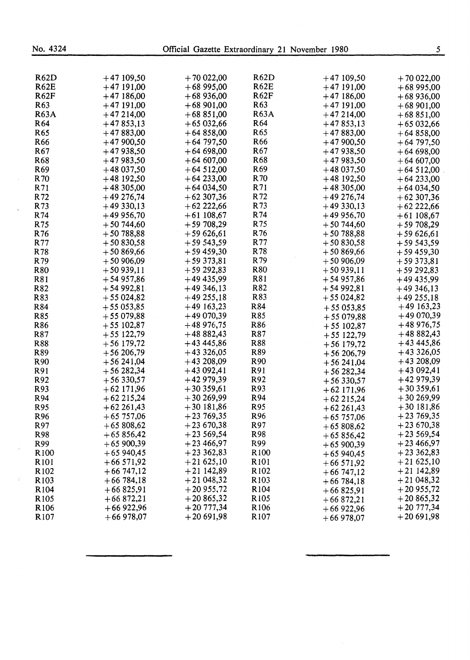| <b>R62D</b>      | $+47109,50$  | $+70022,00$ | R62D              | $+47109,50$  | $+70022,00$                |
|------------------|--------------|-------------|-------------------|--------------|----------------------------|
| <b>R62E</b>      | $+47191,00$  | $+6895,00$  | <b>R62E</b>       | $+47191,00$  | $+6895,00$                 |
| <b>R62F</b>      | $+47186,00$  | $+68936,00$ | <b>R62F</b>       | $+47186,00$  | $+68936,00$                |
| R <sub>63</sub>  | $+47191,00$  | $+68901,00$ | R <sub>63</sub>   | $+47191,00$  | $+68901,00$                |
| <b>R63A</b>      | $+47214,00$  | $+68851,00$ | <b>R63A</b>       | $+47214,00$  | $+68851,00$                |
| R <sub>64</sub>  | $+47853,13$  | $+65032,66$ | R <sub>64</sub>   | $+47853,13$  | $+65032,66$                |
| R <sub>65</sub>  | $+47883,00$  | $+64858,00$ | R <sub>65</sub>   | $+47883,00$  | $+64858,00$                |
| R <sub>66</sub>  | $+47900,50$  | $+64797,50$ | R66               | $+47900,50$  | $+64797,50$                |
| R67              | $+47938,50$  | $+64698,00$ | R67               | $+47938,50$  | $+64698,00$                |
| R68              | $+47983,50$  | $+64607,00$ | R68               | $+47983,50$  | $+64607,00$                |
| R <sub>69</sub>  | $+48037,50$  | $+64512,00$ | R <sub>69</sub>   | $+48037,50$  | $+64512,00$                |
| R70              | $+48$ 192,50 | $+64233,00$ | R70               | $+48$ 192,50 | $+64233,00$                |
| R71              | $+48305,00$  | $+64034,50$ | R71               | $+48305,00$  | $+64034,50$                |
| R72              | $+49276,74$  | $+62307,36$ | R72               | $+49276,74$  | $+62307,36$                |
| R73              | $+49330,13$  | $+62222,66$ | R73               | $+49330,13$  | $+62222,66$                |
| R74              | $+49956,70$  | $+61108,67$ | R74               | $+49956,70$  | $+61108,67$                |
| R75              | $+50744,60$  | $+59708,29$ | R75               | $+50744,60$  | $+59708,29$                |
| R76              | $+50788,88$  | $+59626,61$ | R76               | $+50788,88$  | $+59626,61$                |
| R77              | $+50830,58$  | $+59543,59$ | R77               | $+50830,58$  | $+59543,59$                |
| R78              | $+50869,66$  | $+59459,30$ | R78               | $+50869,66$  | $+59459,30$                |
| R79              | $+50906,09$  | $+59373,81$ | R79               | $+50906,09$  | $+59373,81$                |
| <b>R80</b>       | $+50939,11$  | $+59292,83$ | R80               | $+50939,11$  | $+59292,83$                |
| R81              | $+54957,86$  | $+49435,99$ | R81               | $+54957,86$  | $+49435,99$                |
| R82              | $+5492,81$   | $+49346,13$ | R82               | $+5492,81$   | $+49346,13$                |
| R83              | $+55024,82$  | $+49255,18$ | R83               | $+55024,82$  | $+49255,18$                |
| R84              | $+55053,85$  | $+49163,23$ | R84               |              | $+49163,23$                |
| <b>R85</b>       | $+55079,88$  | $+49070,39$ | R85               | $+55053,85$  | $+49070,39$                |
| R86              | $+55102,87$  | $+48976,75$ | R86               | $+55079,88$  | $+48976,75$                |
|                  |              | $+48882,43$ | R87               | $+55102,87$  | $+48882,43$                |
| R87              | $+55122,79$  |             | R88               | $+55122,79$  | $+43445,86$                |
| R88              | $+56$ 179,72 | $+43445,86$ | R89               | $+56179,72$  |                            |
| R89              | $+56206,79$  | $+43326,05$ |                   | $+56206,79$  | $+43326,05$<br>$+43208,09$ |
| R <sub>90</sub>  | $+56241,04$  | $+43208,09$ | R90               | $+56241,04$  |                            |
| R91              | $+56282,34$  | $+43092,41$ | R91               | $+56282,34$  | $+43092,41$                |
| R92              | $+56330,57$  | $+42979,39$ | R92               | $+56330,57$  | $+42979,39$                |
| R93              | $+62171,96$  | $+30359,61$ | R93               | $+62171,96$  | $+30359,61$                |
| R94              | $+62215,24$  | $+30269,99$ | R94               | $+62215,24$  | $+30269,99$                |
| R95              | $+62261,43$  | $+30181,86$ | R95               | $+62261,43$  | $+30181,86$                |
| R96              | $+65757,06$  | $+23769,35$ | R96               | $+65757,06$  | $+23769,35$                |
| R97              | $+65808,62$  | $+23670,38$ | R97               | $+65808,62$  | $+23670,38$                |
| R98              | $+65856,42$  | $+23569,54$ | R98               | $+65856,42$  | $+23569,54$                |
| R99              | $+65900,39$  | $+23466,97$ | R99               | $+65900,39$  | $+23466,97$                |
| R <sub>100</sub> | $+65940,45$  | $+23362,83$ | R <sub>100</sub>  | $+65940,45$  | $+23362,83$                |
| R <sub>101</sub> | $+66571,92$  | $+21625,10$ | R <sub>10</sub> 1 | $+66571,92$  | $+21625,10$                |
| R <sub>102</sub> | $+66747,12$  | $+21142,89$ | R <sub>102</sub>  | $+66747,12$  | $+21142,89$                |
| R <sub>103</sub> | $+66784,18$  | $+21048,32$ | R <sub>103</sub>  | $+66784,18$  | $+21048,32$                |
| R <sub>104</sub> | $+66825,91$  | $+20955,72$ | R <sub>104</sub>  | $+66825,91$  | $+20955,72$                |
| R <sub>105</sub> | $+66872,21$  | $+20865,32$ | R <sub>105</sub>  | $+66872,21$  | $+20865,32$                |
| R <sub>106</sub> | $+66922,96$  | $+20777,34$ | R <sub>106</sub>  | $+66922,96$  | $+20\,777,34$              |
| R <sub>107</sub> | $+66978,07$  | $+20691,98$ | R <sub>107</sub>  | $+66978,07$  | $+20691,98$                |